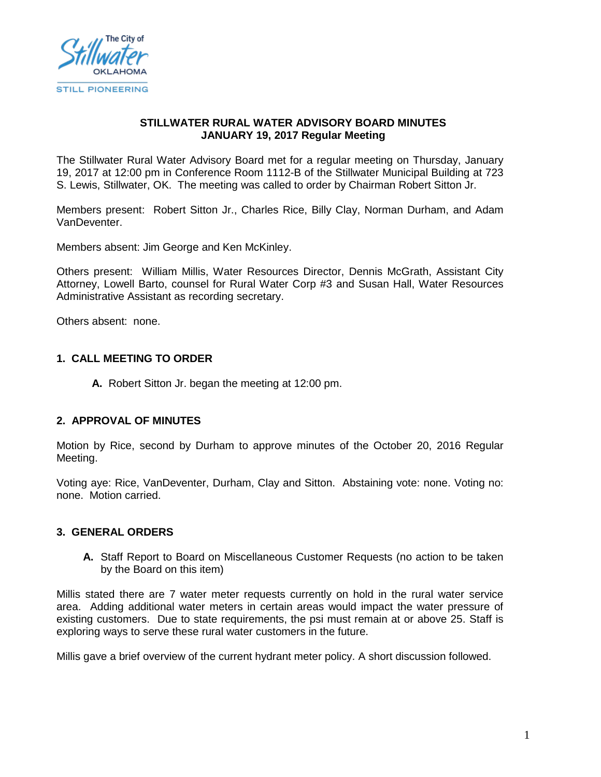

### **STILLWATER RURAL WATER ADVISORY BOARD MINUTES JANUARY 19, 2017 Regular Meeting**

The Stillwater Rural Water Advisory Board met for a regular meeting on Thursday, January 19, 2017 at 12:00 pm in Conference Room 1112-B of the Stillwater Municipal Building at 723 S. Lewis, Stillwater, OK. The meeting was called to order by Chairman Robert Sitton Jr.

Members present: Robert Sitton Jr., Charles Rice, Billy Clay, Norman Durham, and Adam VanDeventer.

Members absent: Jim George and Ken McKinley.

Others present: William Millis, Water Resources Director, Dennis McGrath, Assistant City Attorney, Lowell Barto, counsel for Rural Water Corp #3 and Susan Hall, Water Resources Administrative Assistant as recording secretary.

Others absent: none.

### **1. CALL MEETING TO ORDER**

**A.** Robert Sitton Jr. began the meeting at 12:00 pm.

#### **2. APPROVAL OF MINUTES**

Motion by Rice, second by Durham to approve minutes of the October 20, 2016 Regular Meeting.

Voting aye: Rice, VanDeventer, Durham, Clay and Sitton. Abstaining vote: none. Voting no: none. Motion carried.

#### **3. GENERAL ORDERS**

**A.** Staff Report to Board on Miscellaneous Customer Requests (no action to be taken by the Board on this item)

Millis stated there are 7 water meter requests currently on hold in the rural water service area. Adding additional water meters in certain areas would impact the water pressure of existing customers. Due to state requirements, the psi must remain at or above 25. Staff is exploring ways to serve these rural water customers in the future.

Millis gave a brief overview of the current hydrant meter policy. A short discussion followed.